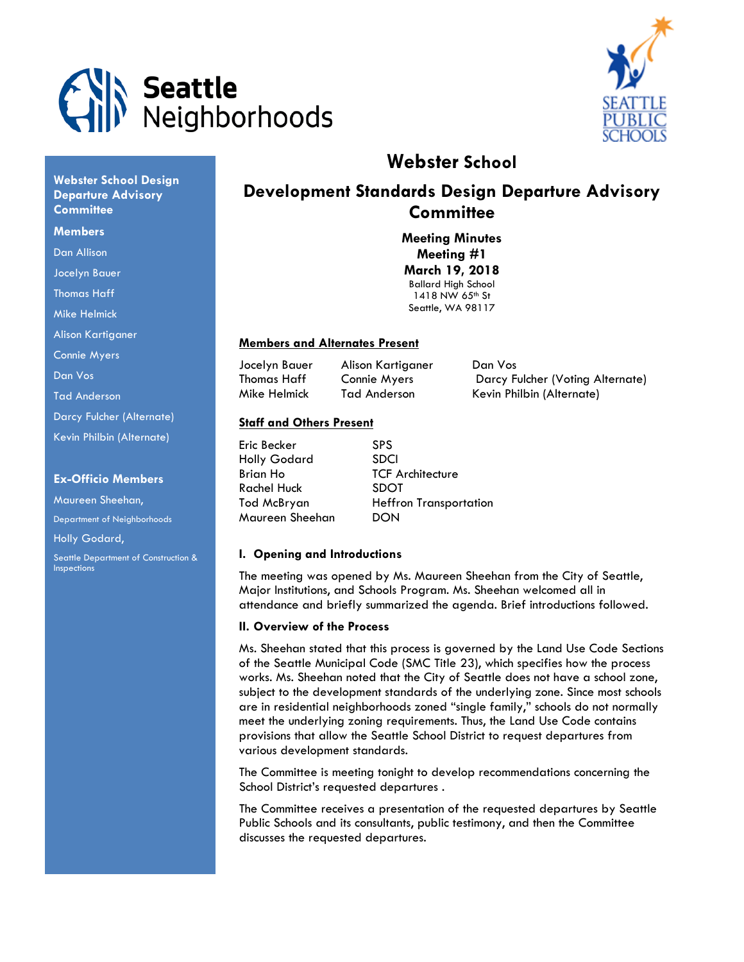



# **Webster School**

# **Development Standards Design Departure Advisory Committee**

**Meeting Minutes Meeting #1 March 19, 2018** Ballard High School 1418 NW 65<sup>th</sup> St Seattle, WA 98117

## **Members and Alternates Present**

Jocelyn Bauer Alison Kartiganer Dan Vos

Thomas Haff Connie Myers Darcy Fulcher (Voting Alternate) Mike Helmick Tad Anderson Kevin Philbin (Alternate)

## **Staff and Others Present**

| <b>SPS</b>                    |
|-------------------------------|
| <b>SDCI</b>                   |
| <b>TCF Architecture</b>       |
| <b>SDOT</b>                   |
| <b>Heffron Transportation</b> |
| DON                           |
|                               |

## **I. Opening and Introductions**

The meeting was opened by Ms. Maureen Sheehan from the City of Seattle, Major Institutions, and Schools Program. Ms. Sheehan welcomed all in attendance and briefly summarized the agenda. Brief introductions followed.

## **II. Overview of the Process**

Ms. Sheehan stated that this process is governed by the Land Use Code Sections of the Seattle Municipal Code (SMC Title 23), which specifies how the process works. Ms. Sheehan noted that the City of Seattle does not have a school zone, subject to the development standards of the underlying zone. Since most schools are in residential neighborhoods zoned "single family," schools do not normally meet the underlying zoning requirements. Thus, the Land Use Code contains provisions that allow the Seattle School District to request departures from various development standards.

The Committee is meeting tonight to develop recommendations concerning the School District's requested departures .

The Committee receives a presentation of the requested departures by Seattle Public Schools and its consultants, public testimony, and then the Committee discusses the requested departures.

**Webster School Design Departure Advisory Committee**

#### **Members**

- Dan Allison
- Jocelyn Bauer
- Thomas Haff

Mike Helmick

Alison Kartiganer

- Connie Myers
- Dan Vos
- Tad Anderson

Darcy Fulcher (Alternate)

Kevin Philbin (Alternate)

#### **Ex-Officio Members**

Maureen Sheehan, Department of Neighborhoods Holly Godard, Seattle Department of Construction & **Inspections**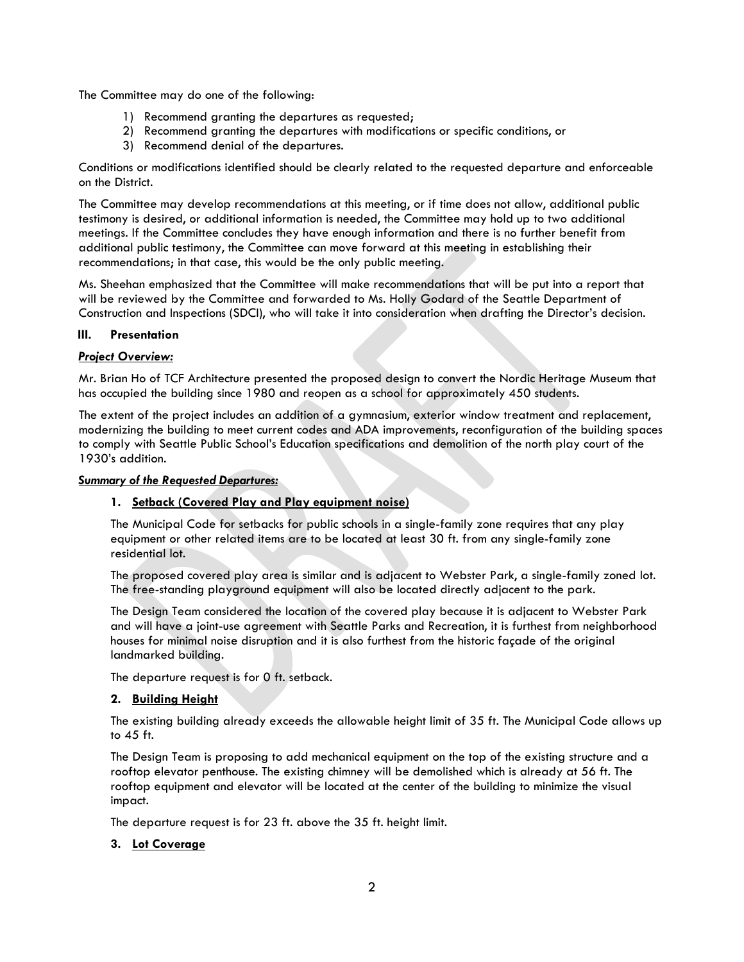The Committee may do one of the following:

- 1) Recommend granting the departures as requested;
- 2) Recommend granting the departures with modifications or specific conditions, or
- 3) Recommend denial of the departures.

Conditions or modifications identified should be clearly related to the requested departure and enforceable on the District.

The Committee may develop recommendations at this meeting, or if time does not allow, additional public testimony is desired, or additional information is needed, the Committee may hold up to two additional meetings. If the Committee concludes they have enough information and there is no further benefit from additional public testimony, the Committee can move forward at this meeting in establishing their recommendations; in that case, this would be the only public meeting.

Ms. Sheehan emphasized that the Committee will make recommendations that will be put into a report that will be reviewed by the Committee and forwarded to Ms. Holly Godard of the Seattle Department of Construction and Inspections (SDCI), who will take it into consideration when drafting the Director's decision.

#### **III. Presentation**

#### *Project Overview:*

Mr. Brian Ho of TCF Architecture presented the proposed design to convert the Nordic Heritage Museum that has occupied the building since 1980 and reopen as a school for approximately 450 students.

The extent of the project includes an addition of a gymnasium, exterior window treatment and replacement, modernizing the building to meet current codes and ADA improvements, reconfiguration of the building spaces to comply with Seattle Public School's Education specifications and demolition of the north play court of the 1930's addition.

*Summary of the Requested Departures:*

## **1. Setback (Covered Play and Play equipment noise)**

The Municipal Code for setbacks for public schools in a single-family zone requires that any play equipment or other related items are to be located at least 30 ft. from any single-family zone residential lot.

The proposed covered play area is similar and is adjacent to Webster Park, a single-family zoned lot. The free-standing playground equipment will also be located directly adjacent to the park.

The Design Team considered the location of the covered play because it is adjacent to Webster Park and will have a joint-use agreement with Seattle Parks and Recreation, it is furthest from neighborhood houses for minimal noise disruption and it is also furthest from the historic façade of the original landmarked building.

The departure request is for 0 ft. setback.

## **2. Building Height**

The existing building already exceeds the allowable height limit of 35 ft. The Municipal Code allows up to 45 ft.

The Design Team is proposing to add mechanical equipment on the top of the existing structure and a rooftop elevator penthouse. The existing chimney will be demolished which is already at 56 ft. The rooftop equipment and elevator will be located at the center of the building to minimize the visual impact.

The departure request is for 23 ft. above the 35 ft. height limit.

## **3. Lot Coverage**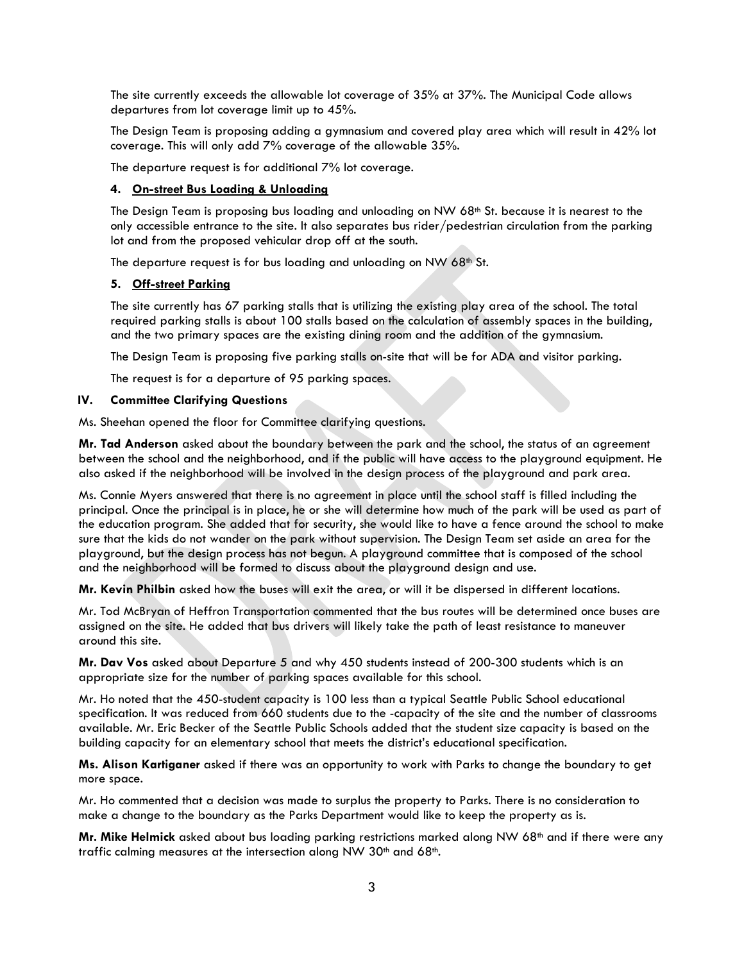The site currently exceeds the allowable lot coverage of 35% at 37%. The Municipal Code allows departures from lot coverage limit up to 45%.

The Design Team is proposing adding a gymnasium and covered play area which will result in 42% lot coverage. This will only add 7% coverage of the allowable 35%.

The departure request is for additional 7% lot coverage.

## **4. On-street Bus Loading & Unloading**

The Design Team is proposing bus loading and unloading on NW  $68<sup>th</sup>$  St. because it is nearest to the only accessible entrance to the site. It also separates bus rider/pedestrian circulation from the parking lot and from the proposed vehicular drop off at the south.

The departure request is for bus loading and unloading on NW 68<sup>th</sup> St.

## **5. Off-street Parking**

The site currently has 67 parking stalls that is utilizing the existing play area of the school. The total required parking stalls is about 100 stalls based on the calculation of assembly spaces in the building, and the two primary spaces are the existing dining room and the addition of the gymnasium.

The Design Team is proposing five parking stalls on-site that will be for ADA and visitor parking.

The request is for a departure of 95 parking spaces.

#### **IV. Committee Clarifying Questions**

Ms. Sheehan opened the floor for Committee clarifying questions.

**Mr. Tad Anderson** asked about the boundary between the park and the school, the status of an agreement between the school and the neighborhood, and if the public will have access to the playground equipment. He also asked if the neighborhood will be involved in the design process of the playground and park area.

Ms. Connie Myers answered that there is no agreement in place until the school staff is filled including the principal. Once the principal is in place, he or she will determine how much of the park will be used as part of the education program. She added that for security, she would like to have a fence around the school to make sure that the kids do not wander on the park without supervision. The Design Team set aside an area for the playground, but the design process has not begun. A playground committee that is composed of the school and the neighborhood will be formed to discuss about the playground design and use.

**Mr. Kevin Philbin** asked how the buses will exit the area, or will it be dispersed in different locations.

Mr. Tod McBryan of Heffron Transportation commented that the bus routes will be determined once buses are assigned on the site. He added that bus drivers will likely take the path of least resistance to maneuver around this site.

**Mr. Dav Vos** asked about Departure 5 and why 450 students instead of 200-300 students which is an appropriate size for the number of parking spaces available for this school.

Mr. Ho noted that the 450-student capacity is 100 less than a typical Seattle Public School educational specification. It was reduced from 660 students due to the -capacity of the site and the number of classrooms available. Mr. Eric Becker of the Seattle Public Schools added that the student size capacity is based on the building capacity for an elementary school that meets the district's educational specification.

**Ms. Alison Kartiganer** asked if there was an opportunity to work with Parks to change the boundary to get more space.

Mr. Ho commented that a decision was made to surplus the property to Parks. There is no consideration to make a change to the boundary as the Parks Department would like to keep the property as is.

**Mr. Mike Helmick** asked about bus loading parking restrictions marked along NW 68<sup>th</sup> and if there were any traffic calming measures at the intersection along NW  $30<sup>th</sup>$  and  $68<sup>th</sup>$ .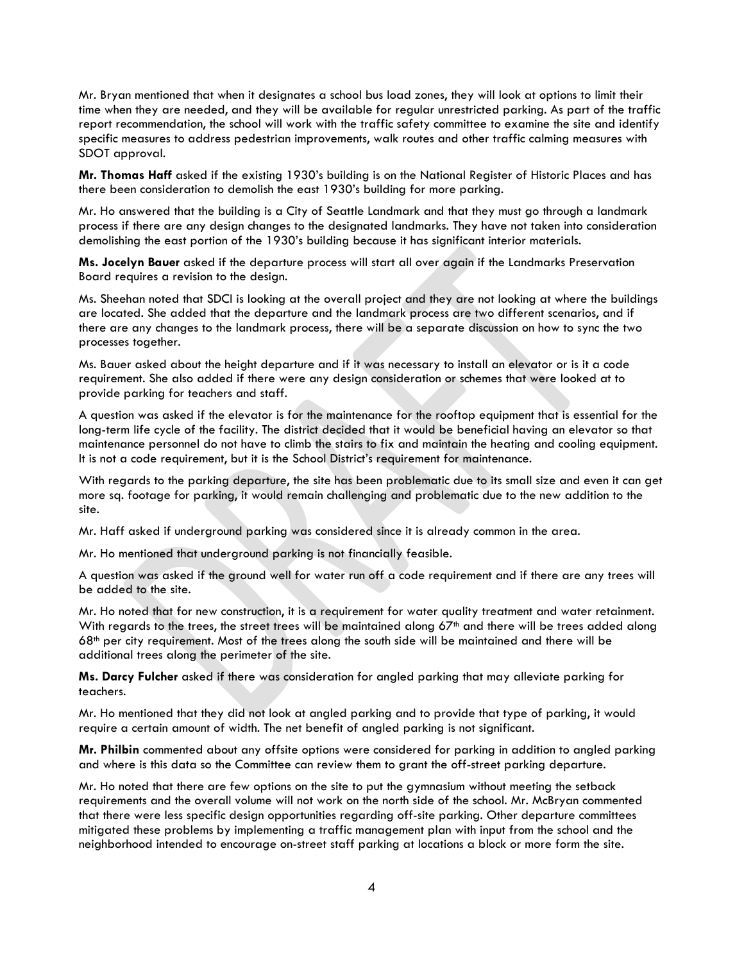Mr. Bryan mentioned that when it designates a school bus load zones, they will look at options to limit their time when they are needed, and they will be available for regular unrestricted parking. As part of the traffic report recommendation, the school will work with the traffic safety committee to examine the site and identify specific measures to address pedestrian improvements, walk routes and other traffic calming measures with SDOT approval.

**Mr. Thomas Haff** asked if the existing 1930's building is on the National Register of Historic Places and has there been consideration to demolish the east 1930's building for more parking.

Mr. Ho answered that the building is a City of Seattle Landmark and that they must go through a landmark process if there are any design changes to the designated landmarks. They have not taken into consideration demolishing the east portion of the 1930's building because it has significant interior materials.

**Ms. Jocelyn Bauer** asked if the departure process will start all over again if the Landmarks Preservation Board requires a revision to the design.

Ms. Sheehan noted that SDCI is looking at the overall project and they are not looking at where the buildings are located. She added that the departure and the landmark process are two different scenarios, and if there are any changes to the landmark process, there will be a separate discussion on how to sync the two processes together.

Ms. Bauer asked about the height departure and if it was necessary to install an elevator or is it a code requirement. She also added if there were any design consideration or schemes that were looked at to provide parking for teachers and staff.

A question was asked if the elevator is for the maintenance for the rooftop equipment that is essential for the long-term life cycle of the facility. The district decided that it would be beneficial having an elevator so that maintenance personnel do not have to climb the stairs to fix and maintain the heating and cooling equipment. It is not a code requirement, but it is the School District's requirement for maintenance.

With regards to the parking departure, the site has been problematic due to its small size and even it can get more sq. footage for parking, it would remain challenging and problematic due to the new addition to the site.

Mr. Haff asked if underground parking was considered since it is already common in the area.

Mr. Ho mentioned that underground parking is not financially feasible.

A question was asked if the ground well for water run off a code requirement and if there are any trees will be added to the site.

Mr. Ho noted that for new construction, it is a requirement for water quality treatment and water retainment. With regards to the trees, the street trees will be maintained along  $67<sup>th</sup>$  and there will be trees added along 68th per city requirement. Most of the trees along the south side will be maintained and there will be additional trees along the perimeter of the site.

**Ms. Darcy Fulcher** asked if there was consideration for angled parking that may alleviate parking for teachers.

Mr. Ho mentioned that they did not look at angled parking and to provide that type of parking, it would require a certain amount of width. The net benefit of angled parking is not significant.

**Mr. Philbin** commented about any offsite options were considered for parking in addition to angled parking and where is this data so the Committee can review them to grant the off-street parking departure.

Mr. Ho noted that there are few options on the site to put the gymnasium without meeting the setback requirements and the overall volume will not work on the north side of the school. Mr. McBryan commented that there were less specific design opportunities regarding off-site parking. Other departure committees mitigated these problems by implementing a traffic management plan with input from the school and the neighborhood intended to encourage on-street staff parking at locations a block or more form the site.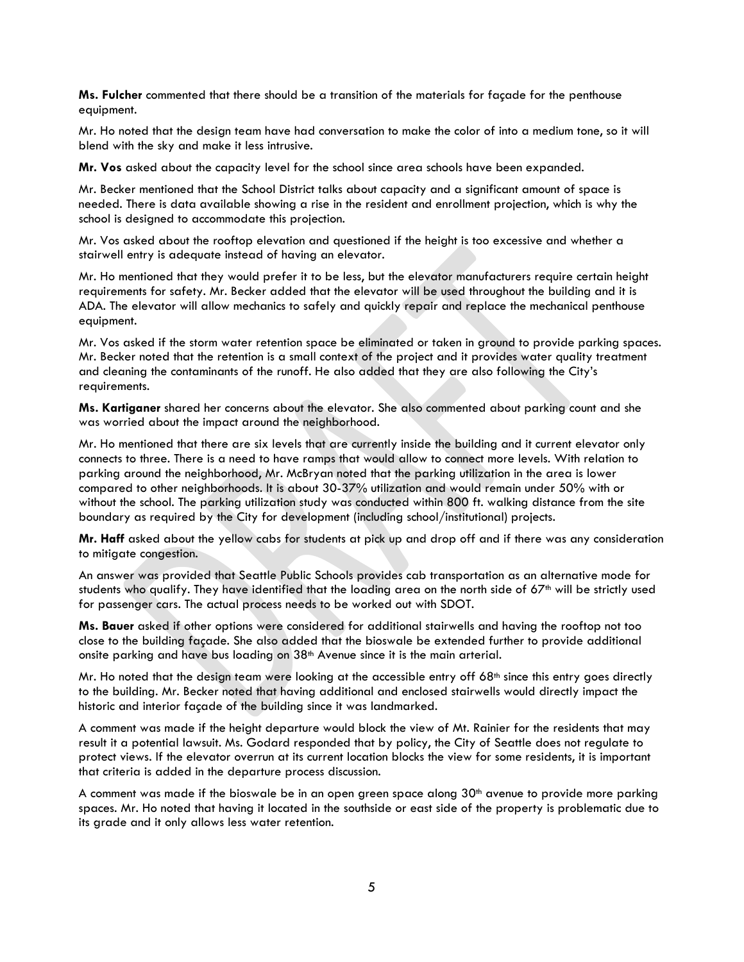**Ms. Fulcher** commented that there should be a transition of the materials for façade for the penthouse equipment.

Mr. Ho noted that the design team have had conversation to make the color of into a medium tone, so it will blend with the sky and make it less intrusive.

**Mr. Vos** asked about the capacity level for the school since area schools have been expanded.

Mr. Becker mentioned that the School District talks about capacity and a significant amount of space is needed. There is data available showing a rise in the resident and enrollment projection, which is why the school is designed to accommodate this projection.

Mr. Vos asked about the rooftop elevation and questioned if the height is too excessive and whether a stairwell entry is adequate instead of having an elevator.

Mr. Ho mentioned that they would prefer it to be less, but the elevator manufacturers require certain height requirements for safety. Mr. Becker added that the elevator will be used throughout the building and it is ADA. The elevator will allow mechanics to safely and quickly repair and replace the mechanical penthouse equipment.

Mr. Vos asked if the storm water retention space be eliminated or taken in ground to provide parking spaces. Mr. Becker noted that the retention is a small context of the project and it provides water quality treatment and cleaning the contaminants of the runoff. He also added that they are also following the City's requirements.

**Ms. Kartiganer** shared her concerns about the elevator. She also commented about parking count and she was worried about the impact around the neighborhood.

Mr. Ho mentioned that there are six levels that are currently inside the building and it current elevator only connects to three. There is a need to have ramps that would allow to connect more levels. With relation to parking around the neighborhood, Mr. McBryan noted that the parking utilization in the area is lower compared to other neighborhoods. It is about 30-37% utilization and would remain under 50% with or without the school. The parking utilization study was conducted within 800 ft. walking distance from the site boundary as required by the City for development (including school/institutional) projects.

**Mr. Haff** asked about the yellow cabs for students at pick up and drop off and if there was any consideration to mitigate congestion.

An answer was provided that Seattle Public Schools provides cab transportation as an alternative mode for students who qualify. They have identified that the loading area on the north side of  $67<sup>th</sup>$  will be strictly used for passenger cars. The actual process needs to be worked out with SDOT.

**Ms. Bauer** asked if other options were considered for additional stairwells and having the rooftop not too close to the building façade. She also added that the bioswale be extended further to provide additional onsite parking and have bus loading on 38<sup>th</sup> Avenue since it is the main arterial.

Mr. Ho noted that the design team were looking at the accessible entry off  $68<sup>th</sup>$  since this entry goes directly to the building. Mr. Becker noted that having additional and enclosed stairwells would directly impact the historic and interior façade of the building since it was landmarked.

A comment was made if the height departure would block the view of Mt. Rainier for the residents that may result it a potential lawsuit. Ms. Godard responded that by policy, the City of Seattle does not regulate to protect views. If the elevator overrun at its current location blocks the view for some residents, it is important that criteria is added in the departure process discussion.

A comment was made if the bioswale be in an open green space along  $30<sup>th</sup>$  avenue to provide more parking spaces. Mr. Ho noted that having it located in the southside or east side of the property is problematic due to its grade and it only allows less water retention.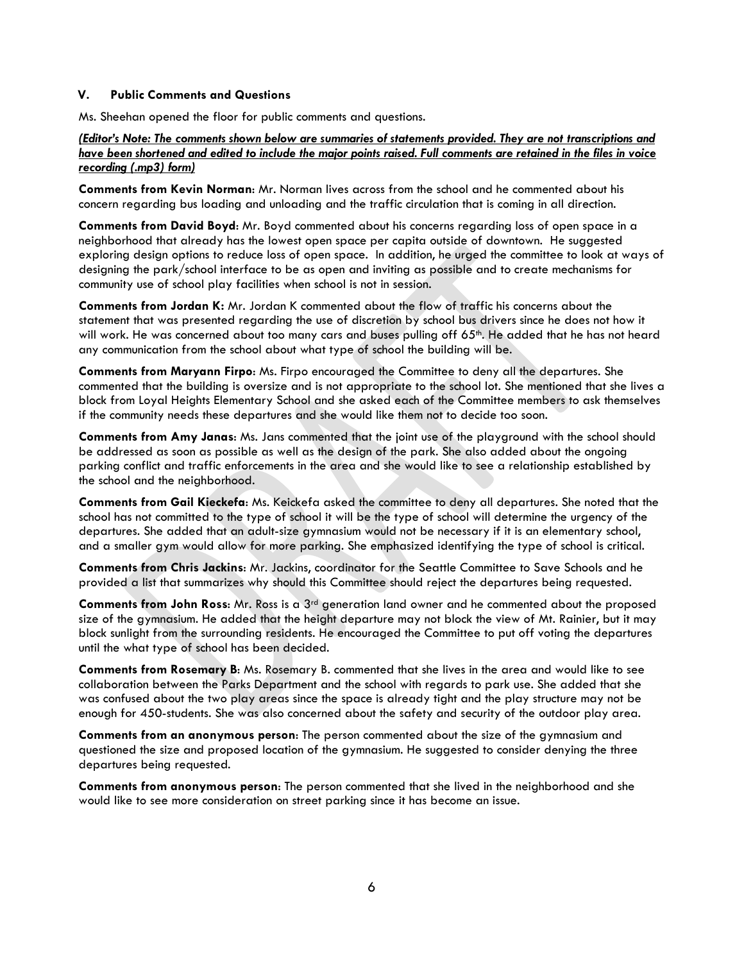#### **V. Public Comments and Questions**

Ms. Sheehan opened the floor for public comments and questions.

## *(Editor's Note: The comments shown below are summaries of statements provided. They are not transcriptions and have been shortened and edited to include the major points raised. Full comments are retained in the files in voice recording (.mp3) form)*

**Comments from Kevin Norman**: Mr. Norman lives across from the school and he commented about his concern regarding bus loading and unloading and the traffic circulation that is coming in all direction.

**Comments from David Boyd**: Mr. Boyd commented about his concerns regarding loss of open space in a neighborhood that already has the lowest open space per capita outside of downtown. He suggested exploring design options to reduce loss of open space. In addition, he urged the committee to look at ways of designing the park/school interface to be as open and inviting as possible and to create mechanisms for community use of school play facilities when school is not in session.

**Comments from Jordan K:** Mr. Jordan K commented about the flow of traffic his concerns about the statement that was presented regarding the use of discretion by school bus drivers since he does not how it will work. He was concerned about too many cars and buses pulling off 65th. He added that he has not heard any communication from the school about what type of school the building will be.

**Comments from Maryann Firpo**: Ms. Firpo encouraged the Committee to deny all the departures. She commented that the building is oversize and is not appropriate to the school lot. She mentioned that she lives a block from Loyal Heights Elementary School and she asked each of the Committee members to ask themselves if the community needs these departures and she would like them not to decide too soon.

**Comments from Amy Janas**: Ms. Jans commented that the joint use of the playground with the school should be addressed as soon as possible as well as the design of the park. She also added about the ongoing parking conflict and traffic enforcements in the area and she would like to see a relationship established by the school and the neighborhood.

**Comments from Gail Kieckefa**: Ms. Keickefa asked the committee to deny all departures. She noted that the school has not committed to the type of school it will be the type of school will determine the urgency of the departures. She added that an adult-size gymnasium would not be necessary if it is an elementary school, and a smaller gym would allow for more parking. She emphasized identifying the type of school is critical.

**Comments from Chris Jackins**: Mr. Jackins, coordinator for the Seattle Committee to Save Schools and he provided a list that summarizes why should this Committee should reject the departures being requested.

**Comments from John Ross**: Mr. Ross is a 3rd generation land owner and he commented about the proposed size of the gymnasium. He added that the height departure may not block the view of Mt. Rainier, but it may block sunlight from the surrounding residents. He encouraged the Committee to put off voting the departures until the what type of school has been decided.

**Comments from Rosemary B**: Ms. Rosemary B. commented that she lives in the area and would like to see collaboration between the Parks Department and the school with regards to park use. She added that she was confused about the two play areas since the space is already tight and the play structure may not be enough for 450-students. She was also concerned about the safety and security of the outdoor play area.

**Comments from an anonymous person**: The person commented about the size of the gymnasium and questioned the size and proposed location of the gymnasium. He suggested to consider denying the three departures being requested.

**Comments from anonymous person**: The person commented that she lived in the neighborhood and she would like to see more consideration on street parking since it has become an issue.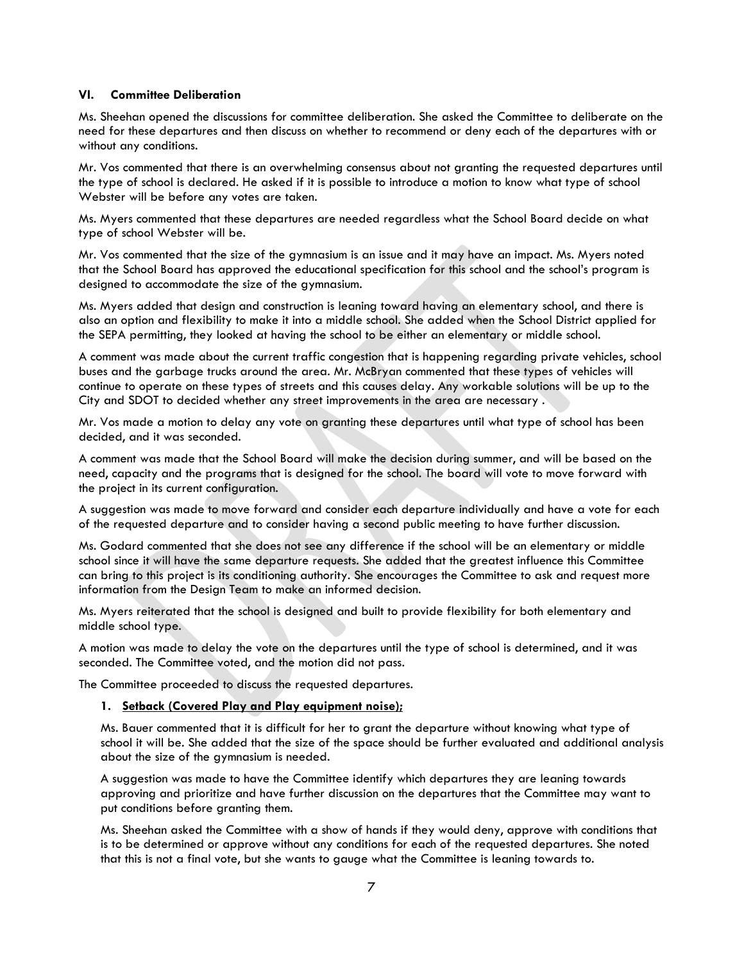#### **VI. Committee Deliberation**

Ms. Sheehan opened the discussions for committee deliberation. She asked the Committee to deliberate on the need for these departures and then discuss on whether to recommend or deny each of the departures with or without any conditions.

Mr. Vos commented that there is an overwhelming consensus about not granting the requested departures until the type of school is declared. He asked if it is possible to introduce a motion to know what type of school Webster will be before any votes are taken.

Ms. Myers commented that these departures are needed regardless what the School Board decide on what type of school Webster will be.

Mr. Vos commented that the size of the gymnasium is an issue and it may have an impact. Ms. Myers noted that the School Board has approved the educational specification for this school and the school's program is designed to accommodate the size of the gymnasium.

Ms. Myers added that design and construction is leaning toward having an elementary school, and there is also an option and flexibility to make it into a middle school. She added when the School District applied for the SEPA permitting, they looked at having the school to be either an elementary or middle school.

A comment was made about the current traffic congestion that is happening regarding private vehicles, school buses and the garbage trucks around the area. Mr. McBryan commented that these types of vehicles will continue to operate on these types of streets and this causes delay. Any workable solutions will be up to the City and SDOT to decided whether any street improvements in the area are necessary .

Mr. Vos made a motion to delay any vote on granting these departures until what type of school has been decided, and it was seconded.

A comment was made that the School Board will make the decision during summer, and will be based on the need, capacity and the programs that is designed for the school. The board will vote to move forward with the project in its current configuration.

A suggestion was made to move forward and consider each departure individually and have a vote for each of the requested departure and to consider having a second public meeting to have further discussion.

Ms. Godard commented that she does not see any difference if the school will be an elementary or middle school since it will have the same departure requests. She added that the greatest influence this Committee can bring to this project is its conditioning authority. She encourages the Committee to ask and request more information from the Design Team to make an informed decision.

Ms. Myers reiterated that the school is designed and built to provide flexibility for both elementary and middle school type.

A motion was made to delay the vote on the departures until the type of school is determined, and it was seconded. The Committee voted, and the motion did not pass.

The Committee proceeded to discuss the requested departures.

#### **1. Setback (Covered Play and Play equipment noise);**

Ms. Bauer commented that it is difficult for her to grant the departure without knowing what type of school it will be. She added that the size of the space should be further evaluated and additional analysis about the size of the gymnasium is needed.

A suggestion was made to have the Committee identify which departures they are leaning towards approving and prioritize and have further discussion on the departures that the Committee may want to put conditions before granting them.

Ms. Sheehan asked the Committee with a show of hands if they would deny, approve with conditions that is to be determined or approve without any conditions for each of the requested departures. She noted that this is not a final vote, but she wants to gauge what the Committee is leaning towards to.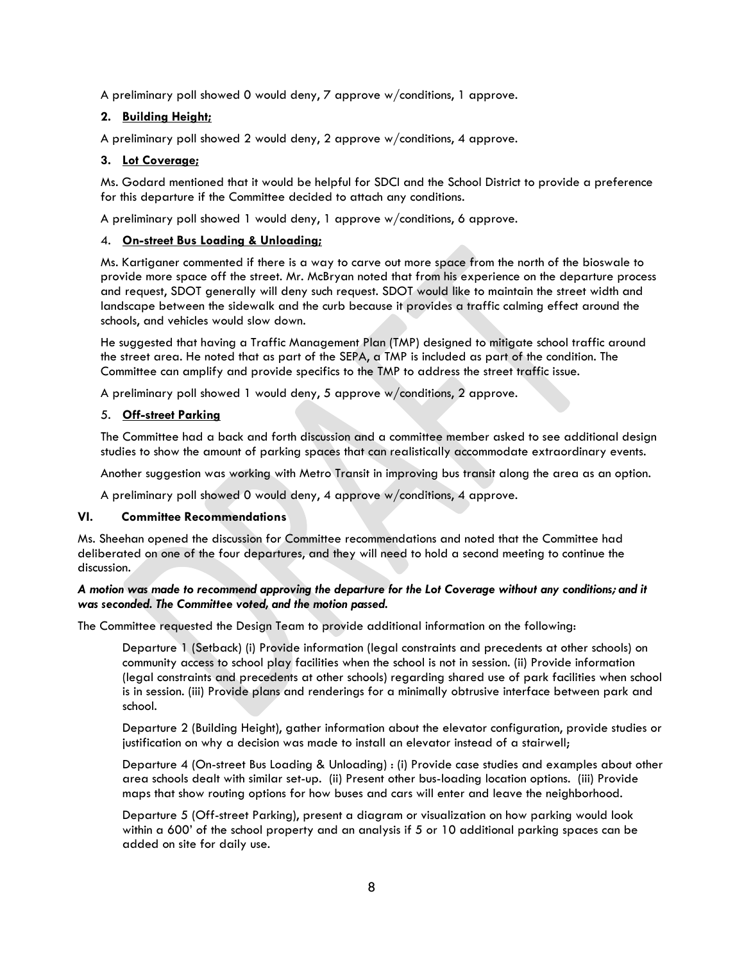A preliminary poll showed 0 would deny, 7 approve w/conditions, 1 approve.

# **2. Building Height;**

A preliminary poll showed 2 would deny, 2 approve w/conditions, 4 approve.

## **3. Lot Coverage;**

Ms. Godard mentioned that it would be helpful for SDCI and the School District to provide a preference for this departure if the Committee decided to attach any conditions.

A preliminary poll showed 1 would deny, 1 approve w/conditions, 6 approve.

#### 4. **On-street Bus Loading & Unloading;**

Ms. Kartiganer commented if there is a way to carve out more space from the north of the bioswale to provide more space off the street. Mr. McBryan noted that from his experience on the departure process and request, SDOT generally will deny such request. SDOT would like to maintain the street width and landscape between the sidewalk and the curb because it provides a traffic calming effect around the schools, and vehicles would slow down.

He suggested that having a Traffic Management Plan (TMP) designed to mitigate school traffic around the street area. He noted that as part of the SEPA, a TMP is included as part of the condition. The Committee can amplify and provide specifics to the TMP to address the street traffic issue.

A preliminary poll showed 1 would deny, 5 approve w/conditions, 2 approve.

## 5. **Off-street Parking**

The Committee had a back and forth discussion and a committee member asked to see additional design studies to show the amount of parking spaces that can realistically accommodate extraordinary events.

Another suggestion was working with Metro Transit in improving bus transit along the area as an option.

A preliminary poll showed 0 would deny, 4 approve w/conditions, 4 approve.

## **VI. Committee Recommendations**

Ms. Sheehan opened the discussion for Committee recommendations and noted that the Committee had deliberated on one of the four departures, and they will need to hold a second meeting to continue the discussion.

## *A motion was made to recommend approving the departure for the Lot Coverage without any conditions; and it was seconded. The Committee voted, and the motion passed.*

The Committee requested the Design Team to provide additional information on the following:

Departure 1 (Setback) (i) Provide information (legal constraints and precedents at other schools) on community access to school play facilities when the school is not in session. (ii) Provide information (legal constraints and precedents at other schools) regarding shared use of park facilities when school is in session. (iii) Provide plans and renderings for a minimally obtrusive interface between park and school.

Departure 2 (Building Height), gather information about the elevator configuration, provide studies or justification on why a decision was made to install an elevator instead of a stairwell;

Departure 4 (On-street Bus Loading & Unloading) : (i) Provide case studies and examples about other area schools dealt with similar set-up. (ii) Present other bus-loading location options. (iii) Provide maps that show routing options for how buses and cars will enter and leave the neighborhood.

Departure 5 (Off-street Parking), present a diagram or visualization on how parking would look within a 600' of the school property and an analysis if 5 or 10 additional parking spaces can be added on site for daily use.